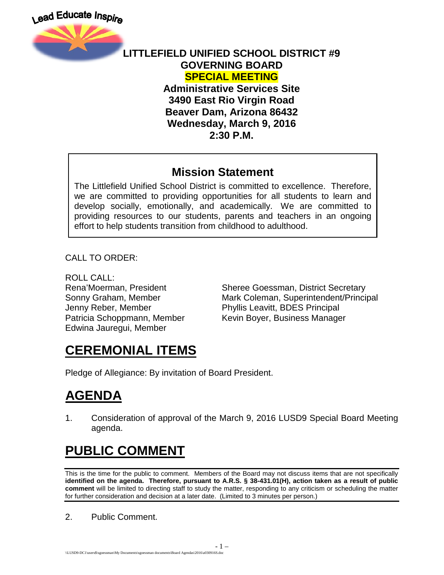



#### **LITTLEFIELD UNIFIED SCHOOL DISTRICT #9 GOVERNING BOARD SPECIAL MEETING**

**Administrative Services Site 3490 East Rio Virgin Road Beaver Dam, Arizona 86432 Wednesday, March 9, 2016 2:30 P.M.**

#### **Mission Statement**

The Littlefield Unified School District is committed to excellence. Therefore, we are committed to providing opportunities for all students to learn and develop socially, emotionally, and academically. We are committed to providing resources to our students, parents and teachers in an ongoing effort to help students transition from childhood to adulthood.

CALL TO ORDER:

ROLL CALL: Jenny Reber, Member Phyllis Leavitt, BDES Principal Edwina Jauregui, Member

Rena'Moerman, President Sheree Goessman, District Secretary Sonny Graham, Member **Mark Coleman, Superintendent/Principal** Patricia Schoppmann, Member Kevin Boyer, Business Manager

## **CEREMONIAL ITEMS**

Pledge of Allegiance: By invitation of Board President.

# **AGENDA**

1. Consideration of approval of the March 9, 2016 LUSD9 Special Board Meeting agenda.

# **PUBLIC COMMENT**

This is the time for the public to comment. Members of the Board may not discuss items that are not specifically **identified on the agenda. Therefore, pursuant to A.R.S. § 38-431.01(H), action taken as a result of public comment** will be limited to directing staff to study the matter, responding to any criticism or scheduling the matter for further consideration and decision at a later date. (Limited to 3 minutes per person.)

- 1 –

2. Public Comment.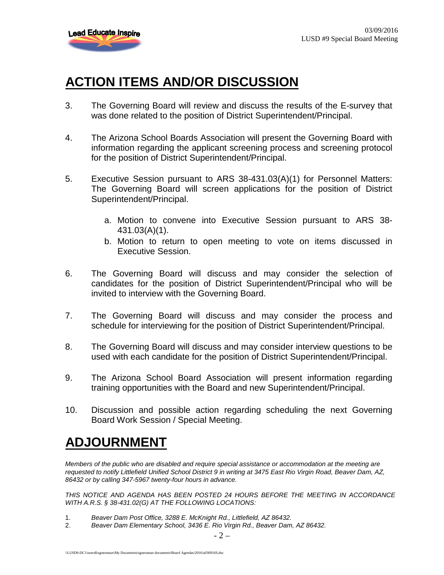

## **ACTION ITEMS AND/OR DISCUSSION**

- 3. The Governing Board will review and discuss the results of the E-survey that was done related to the position of District Superintendent/Principal.
- 4. The Arizona School Boards Association will present the Governing Board with information regarding the applicant screening process and screening protocol for the position of District Superintendent/Principal.
- 5. Executive Session pursuant to ARS 38-431.03(A)(1) for Personnel Matters: The Governing Board will screen applications for the position of District Superintendent/Principal.
	- a. Motion to convene into Executive Session pursuant to ARS 38- 431.03(A)(1).
	- b. Motion to return to open meeting to vote on items discussed in Executive Session.
- 6. The Governing Board will discuss and may consider the selection of candidates for the position of District Superintendent/Principal who will be invited to interview with the Governing Board.
- 7. The Governing Board will discuss and may consider the process and schedule for interviewing for the position of District Superintendent/Principal.
- 8. The Governing Board will discuss and may consider interview questions to be used with each candidate for the position of District Superintendent/Principal.
- 9. The Arizona School Board Association will present information regarding training opportunities with the Board and new Superintendent/Principal.
- 10. Discussion and possible action regarding scheduling the next Governing Board Work Session / Special Meeting.

## **ADJOURNMENT**

*Members of the public who are disabled and require special assistance or accommodation at the meeting are requested to notify Littlefield Unified School District 9 in writing at 3475 East Rio Virgin Road, Beaver Dam, AZ, 86432 or by calling 347-5967 twenty-four hours in advance.* 

*THIS NOTICE AND AGENDA HAS BEEN POSTED 24 HOURS BEFORE THE MEETING IN ACCORDANCE WITH A.R.S. § 38-431.02(G) AT THE FOLLOWING LOCATIONS:* 

- 1. *Beaver Dam Post Office, 3288 E. McKnight Rd., Littlefield, AZ 86432.*
- 2. *Beaver Dam Elementary School, 3436 E. Rio Virgin Rd., Beaver Dam, AZ 86432.*